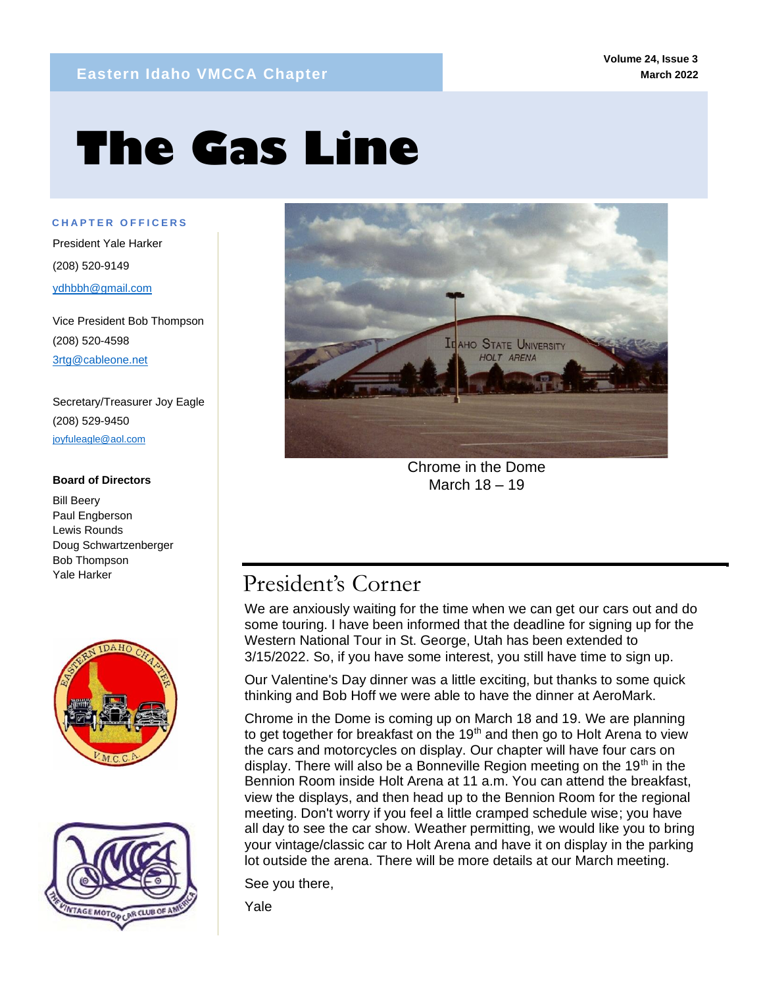# **The Gas Line**

**C H A P T E R O F F I C E R S** President Yale Harker (208) 520-9149 ydhbbh@gmail.com

mm

Vice President Bob Thompson (208) 520-4598 3rtg@cableone.net

Secretary/Treasurer Joy Eagle (208) 529-9450 joyfuleagle@aol.com

## **Board of Directors**

Bill Beery Paul Engberson Lewis Rounds Doug Schwartzenberger Bob Thompson Yale Harker







Chrome in the Dome March 18 – 19

# President's Corner

We are anxiously waiting for the time when we can get our cars out and do some touring. I have been informed that the deadline for signing up for the Western National Tour in St. George, Utah has been extended to 3/15/2022. So, if you have some interest, you still have time to sign up.

Our Valentine's Day dinner was a little exciting, but thanks to some quick thinking and Bob Hoff we were able to have the dinner at AeroMark.

Chrome in the Dome is coming up on March 18 and 19. We are planning to get together for breakfast on the  $19<sup>th</sup>$  and then go to Holt Arena to view the cars and motorcycles on display. Our chapter will have four cars on display. There will also be a Bonneville Region meeting on the 19<sup>th</sup> in the Bennion Room inside Holt Arena at 11 a.m. You can attend the breakfast, view the displays, and then head up to the Bennion Room for the regional meeting. Don't worry if you feel a little cramped schedule wise; you have all day to see the car show. Weather permitting, we would like you to bring your vintage/classic car to Holt Arena and have it on display in the parking lot outside the arena. There will be more details at our March meeting.

See you there,

Yale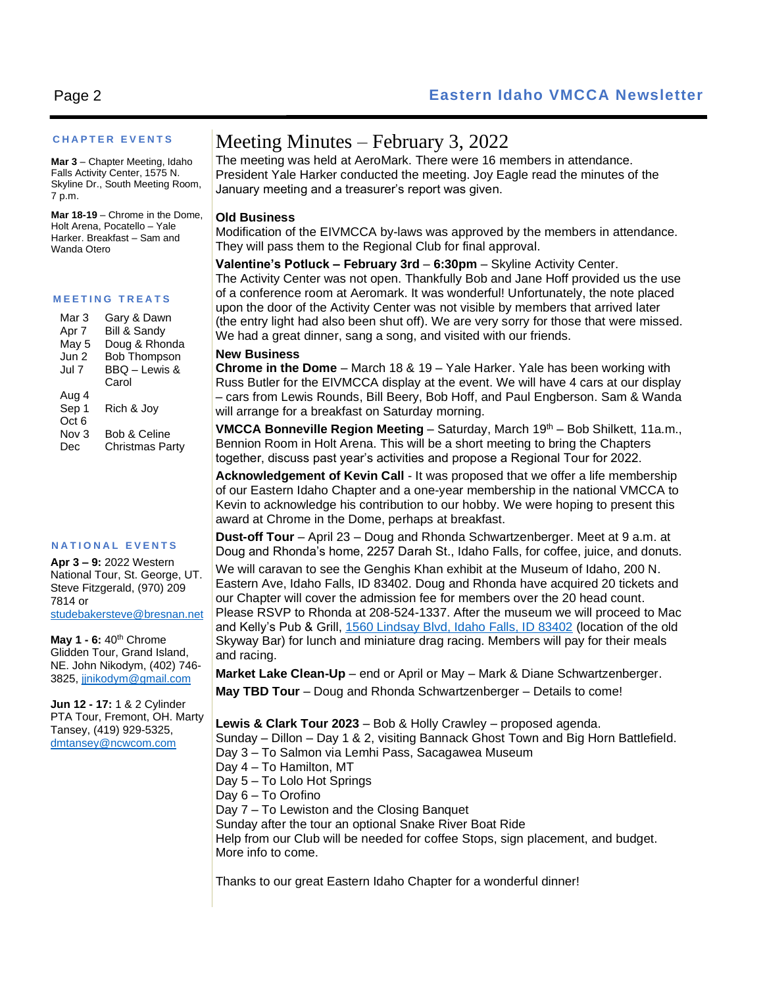## **C H A P T E R E V E N T S**

**Mar 3** – Chapter Meeting, Idaho Falls Activity Center, 1575 N. Skyline Dr., South Meeting Room, 7 p.m.

**Mar 18-19** – Chrome in the Dome, Holt Arena, Pocatello – Yale Harker. Breakfast – Sam and Wanda Otero

### **M E E T I N G T R E A T S**

| Mar 3            | Gary & Dawn         |
|------------------|---------------------|
| Apr 7            | Bill & Sandy        |
| May 5            | Doug & Rhonda       |
| Jun 2            | <b>Bob Thompson</b> |
| Jul 7            | BBQ - Lewis &       |
|                  | Carol               |
| Aug 4            |                     |
| Sep 1            | Rich & Joy          |
| Oct <sub>6</sub> |                     |
| Nov 3            | Bob & Celine        |
| Dec              | Christmas Party     |

#### **N A T I O N A L E V E N T S**

**Apr 3 – 9:** 2022 Western National Tour, St. George, UT. Steve Fitzgerald, (970) 209 7814 or [studebakersteve@bresnan.net](mailto:studebakersteve@bresnan.net)

**May 1 - 6:** 40th Chrome Glidden Tour, Grand Island, NE. John Nikodym, (402) 746- 3825[, jjnikodym@gmail.com](mailto:jjnikodym@gmail.com)

**Jun 12 - 17:** 1 & 2 Cylinder PTA Tour, Fremont, OH. Marty Tansey, (419) 929-5325, [dmtansey@ncwcom.com](mailto:dmtansey@ncwcom.com)

## Meeting Minutes – February 3, 2022

The meeting was held at AeroMark. There were 16 members in attendance. President Yale Harker conducted the meeting. Joy Eagle read the minutes of the January meeting and a treasurer's report was given.

## **Old Business**

Modification of the EIVMCCA by-laws was approved by the members in attendance. They will pass them to the Regional Club for final approval.

**Valentine's Potluck – February 3rd** – **6:30pm** – Skyline Activity Center. The Activity Center was not open. Thankfully Bob and Jane Hoff provided us the use of a conference room at Aeromark. It was wonderful! Unfortunately, the note placed upon the door of the Activity Center was not visible by members that arrived later (the entry light had also been shut off). We are very sorry for those that were missed. We had a great dinner, sang a song, and visited with our friends.

## **New Business**

**Chrome in the Dome** – March 18 & 19 – Yale Harker. Yale has been working with Russ Butler for the EIVMCCA display at the event. We will have 4 cars at our display – cars from Lewis Rounds, Bill Beery, Bob Hoff, and Paul Engberson. Sam & Wanda will arrange for a breakfast on Saturday morning.

**VMCCA Bonneville Region Meeting** – Saturday, March 19<sup>th</sup> – Bob Shilkett, 11a.m., Bennion Room in Holt Arena. This will be a short meeting to bring the Chapters together, discuss past year's activities and propose a Regional Tour for 2022.

**Acknowledgement of Kevin Call** - It was proposed that we offer a life membership of our Eastern Idaho Chapter and a one-year membership in the national VMCCA to Kevin to acknowledge his contribution to our hobby. We were hoping to present this award at Chrome in the Dome, perhaps at breakfast.

**Dust-off Tour** – April 23 – Doug and Rhonda Schwartzenberger. Meet at 9 a.m. at Doug and Rhonda's home, 2257 Darah St., Idaho Falls, for coffee, juice, and donuts.

We will caravan to see the Genghis Khan exhibit at the Museum of Idaho, 200 N. Eastern Ave, Idaho Falls, ID 83402. Doug and Rhonda have acquired 20 tickets and our Chapter will cover the admission fee for members over the 20 head count. Please RSVP to Rhonda at 208-524-1337. After the museum we will proceed to Mac and Kelly's Pub & Grill, [1560 Lindsay Blvd, Idaho Falls, ID 83402](https://www.bing.com/local?lid=YN873x301975156753351083&id=YN873x301975156753351083&q=Mac+%27N+Kelly%27s+Pub+%26+Grill&name=Mac+%27N+Kelly%27s+Pub+%26+Grill&cp=43.509700775146484%7e-112.05531311035156&ppois=43.509700775146484_-112.05531311035156_Mac+%27N+Kelly%27s+Pub+%26+Grill) (location of the old Skyway Bar) for lunch and miniature drag racing. Members will pay for their meals and racing.

**Market Lake Clean-Up** – end or April or May – Mark & Diane Schwartzenberger. **May TBD Tour** – Doug and Rhonda Schwartzenberger – Details to come!

**Lewis & Clark Tour 2023** – Bob & Holly Crawley – proposed agenda. Sunday – Dillon – Day 1 & 2, visiting Bannack Ghost Town and Big Horn Battlefield. Day 3 – To Salmon via Lemhi Pass, Sacagawea Museum Day 4 – To Hamilton, MT Day 5 – To Lolo Hot Springs Day 6 – To Orofino Day 7 – To Lewiston and the Closing Banquet Sunday after the tour an optional Snake River Boat Ride Help from our Club will be needed for coffee Stops, sign placement, and budget. More info to come.

Thanks to our great Eastern Idaho Chapter for a wonderful dinner!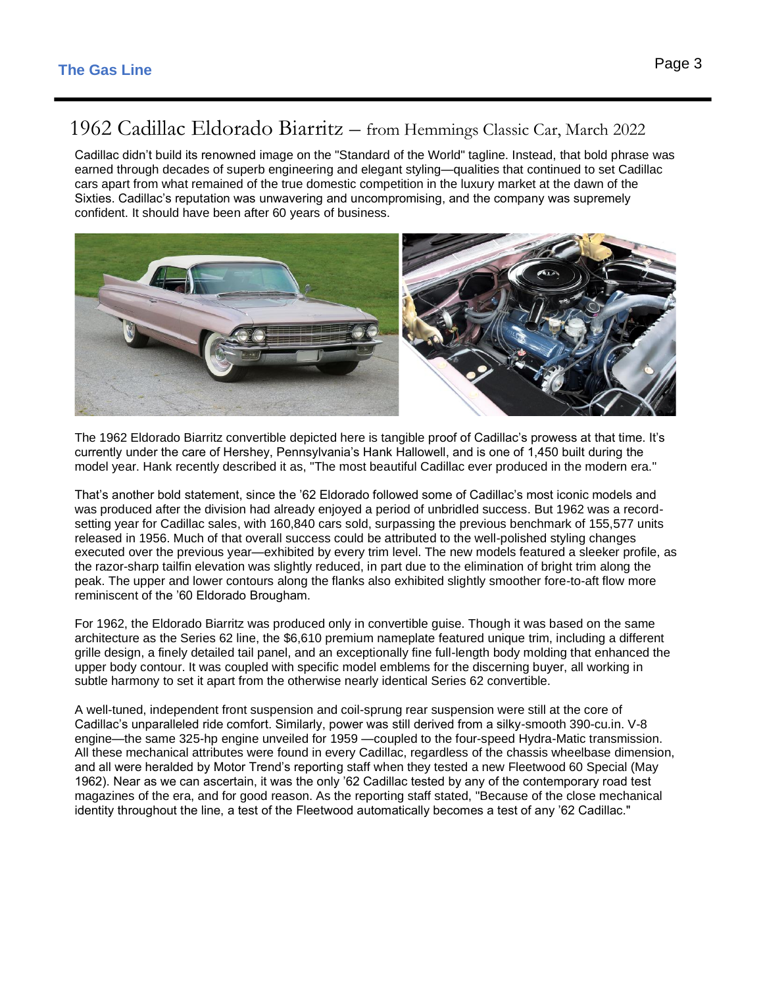# 1962 Cadillac Eldorado Biarritz – from Hemmings Classic Car, March 2022

Cadillac didn't build its renowned image on the "Standard of the World" tagline. Instead, that bold phrase was earned through decades of superb engineering and elegant styling—qualities that continued to set Cadillac cars apart from what remained of the true domestic competition in the luxury market at the dawn of the Sixties. Cadillac's reputation was unwavering and uncompromising, and the company was supremely confident. It should have been after 60 years of business.



The 1962 Eldorado Biarritz convertible depicted here is tangible proof of Cadillac's prowess at that time. It's currently under the care of Hershey, Pennsylvania's Hank Hallowell, and is one of 1,450 built during the model year. Hank recently described it as, "The most beautiful Cadillac ever produced in the modern era."

That's another bold statement, since the '62 Eldorado followed some of Cadillac's most iconic models and was produced after the division had already enjoyed a period of unbridled success. But 1962 was a recordsetting year for Cadillac sales, with 160,840 cars sold, surpassing the previous benchmark of 155,577 units released in 1956. Much of that overall success could be attributed to the well-polished styling changes executed over the previous year—exhibited by every trim level. The new models featured a sleeker profile, as the razor-sharp tailfin elevation was slightly reduced, in part due to the elimination of bright trim along the peak. The upper and lower contours along the flanks also exhibited slightly smoother fore-to-aft flow more reminiscent of the '60 Eldorado Brougham.

For 1962, the Eldorado Biarritz was produced only in convertible guise. Though it was based on the same architecture as the Series 62 line, the \$6,610 premium nameplate featured unique trim, including a different grille design, a finely detailed tail panel, and an exceptionally fine full-length body molding that enhanced the upper body contour. It was coupled with specific model emblems for the discerning buyer, all working in subtle harmony to set it apart from the otherwise nearly identical Series 62 convertible.

A well-tuned, independent front suspension and coil-sprung rear suspension were still at the core of Cadillac's unparalleled ride comfort. Similarly, power was still derived from a silky-smooth 390-cu.in. V-8 engine—the same 325-hp engine unveiled for 1959 —coupled to the four-speed Hydra-Matic transmission. All these mechanical attributes were found in every Cadillac, regardless of the chassis wheelbase dimension, and all were heralded by Motor Trend's reporting staff when they tested a new Fleetwood 60 Special (May 1962). Near as we can ascertain, it was the only '62 Cadillac tested by any of the contemporary road test magazines of the era, and for good reason. As the reporting staff stated, "Because of the close mechanical identity throughout the line, a test of the Fleetwood automatically becomes a test of any '62 Cadillac."